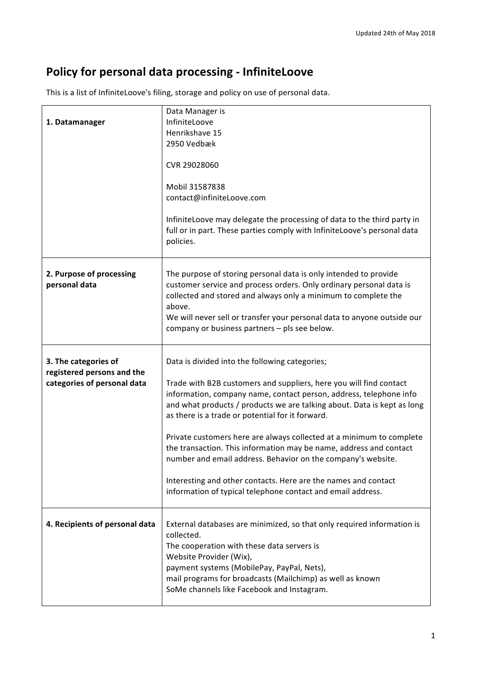## **Policy for personal data processing - InfiniteLoove**

This is a list of InfiniteLoove's filing, storage and policy on use of personal data.

|                                                    | Data Manager is                                                                                                                                                                                                                                                                                                                                 |
|----------------------------------------------------|-------------------------------------------------------------------------------------------------------------------------------------------------------------------------------------------------------------------------------------------------------------------------------------------------------------------------------------------------|
| 1. Datamanager                                     | InfiniteLoove                                                                                                                                                                                                                                                                                                                                   |
|                                                    | Henrikshave 15                                                                                                                                                                                                                                                                                                                                  |
|                                                    | 2950 Vedbæk                                                                                                                                                                                                                                                                                                                                     |
|                                                    | CVR 29028060                                                                                                                                                                                                                                                                                                                                    |
|                                                    | Mobil 31587838<br>contact@infiniteLoove.com                                                                                                                                                                                                                                                                                                     |
|                                                    | InfiniteLoove may delegate the processing of data to the third party in<br>full or in part. These parties comply with InfiniteLoove's personal data<br>policies.                                                                                                                                                                                |
| 2. Purpose of processing<br>personal data          | The purpose of storing personal data is only intended to provide<br>customer service and process orders. Only ordinary personal data is<br>collected and stored and always only a minimum to complete the<br>above.<br>We will never sell or transfer your personal data to anyone outside our<br>company or business partners - pls see below. |
| 3. The categories of<br>registered persons and the | Data is divided into the following categories;                                                                                                                                                                                                                                                                                                  |
| categories of personal data                        | Trade with B2B customers and suppliers, here you will find contact<br>information, company name, contact person, address, telephone info<br>and what products / products we are talking about. Data is kept as long<br>as there is a trade or potential for it forward.                                                                         |
|                                                    | Private customers here are always collected at a minimum to complete<br>the transaction. This information may be name, address and contact<br>number and email address. Behavior on the company's website.                                                                                                                                      |
|                                                    | Interesting and other contacts. Here are the names and contact<br>information of typical telephone contact and email address.                                                                                                                                                                                                                   |
| 4. Recipients of personal data                     | External databases are minimized, so that only required information is<br>collected.<br>The cooperation with these data servers is<br>Website Provider (Wix),<br>payment systems (MobilePay, PayPal, Nets),<br>mail programs for broadcasts (Mailchimp) as well as known<br>SoMe channels like Facebook and Instagram.                          |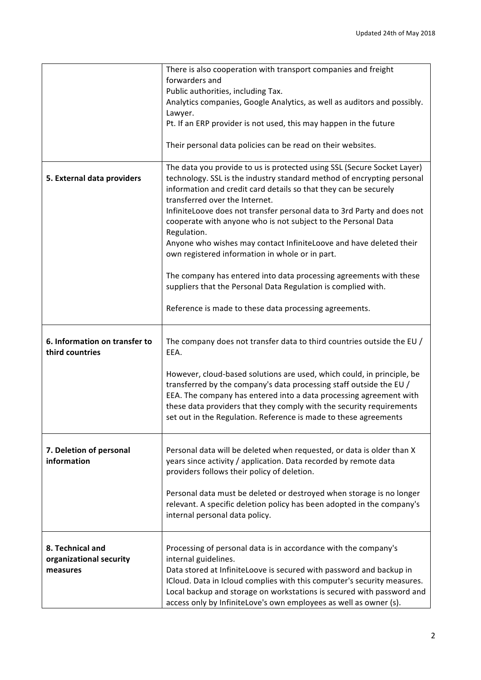|                                                         | There is also cooperation with transport companies and freight<br>forwarders and                                                                                                                                                                                                                                                                                                        |
|---------------------------------------------------------|-----------------------------------------------------------------------------------------------------------------------------------------------------------------------------------------------------------------------------------------------------------------------------------------------------------------------------------------------------------------------------------------|
|                                                         | Public authorities, including Tax.                                                                                                                                                                                                                                                                                                                                                      |
|                                                         | Analytics companies, Google Analytics, as well as auditors and possibly.                                                                                                                                                                                                                                                                                                                |
|                                                         | Lawyer.<br>Pt. If an ERP provider is not used, this may happen in the future                                                                                                                                                                                                                                                                                                            |
|                                                         |                                                                                                                                                                                                                                                                                                                                                                                         |
|                                                         | Their personal data policies can be read on their websites.                                                                                                                                                                                                                                                                                                                             |
| 5. External data providers                              | The data you provide to us is protected using SSL (Secure Socket Layer)<br>technology. SSL is the industry standard method of encrypting personal<br>information and credit card details so that they can be securely<br>transferred over the Internet.<br>InfiniteLoove does not transfer personal data to 3rd Party and does not                                                      |
|                                                         | cooperate with anyone who is not subject to the Personal Data<br>Regulation.                                                                                                                                                                                                                                                                                                            |
|                                                         | Anyone who wishes may contact InfiniteLoove and have deleted their<br>own registered information in whole or in part.                                                                                                                                                                                                                                                                   |
|                                                         | The company has entered into data processing agreements with these<br>suppliers that the Personal Data Regulation is complied with.                                                                                                                                                                                                                                                     |
|                                                         | Reference is made to these data processing agreements.                                                                                                                                                                                                                                                                                                                                  |
| 6. Information on transfer to<br>third countries        | The company does not transfer data to third countries outside the EU /<br>EEA.                                                                                                                                                                                                                                                                                                          |
|                                                         | However, cloud-based solutions are used, which could, in principle, be<br>transferred by the company's data processing staff outside the EU /<br>EEA. The company has entered into a data processing agreement with<br>these data providers that they comply with the security requirements<br>set out in the Regulation. Reference is made to these agreements                         |
| 7. Deletion of personal<br>information                  | Personal data will be deleted when requested, or data is older than X<br>years since activity / application. Data recorded by remote data<br>providers follows their policy of deletion.                                                                                                                                                                                                |
|                                                         | Personal data must be deleted or destroyed when storage is no longer<br>relevant. A specific deletion policy has been adopted in the company's<br>internal personal data policy.                                                                                                                                                                                                        |
| 8. Technical and<br>organizational security<br>measures | Processing of personal data is in accordance with the company's<br>internal guidelines.<br>Data stored at InfiniteLoove is secured with password and backup in<br>ICloud. Data in Icloud complies with this computer's security measures.<br>Local backup and storage on workstations is secured with password and<br>access only by InfiniteLove's own employees as well as owner (s). |